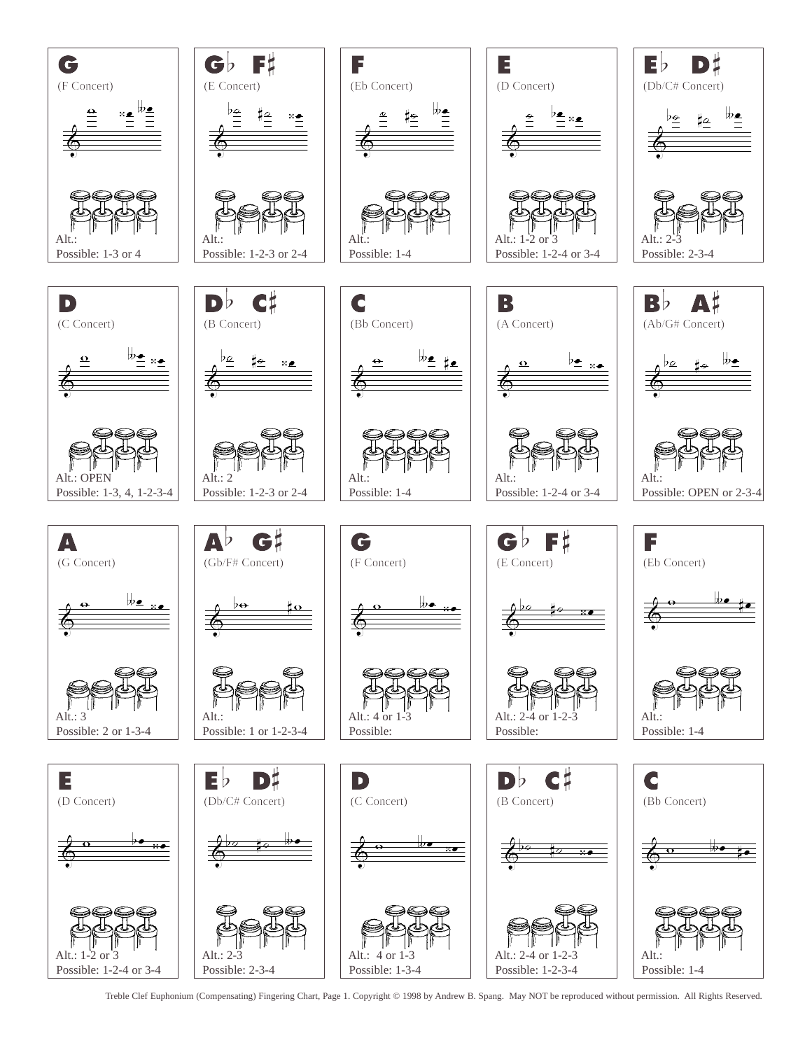

Treble Clef Euphonium (Compensating) Fingering Chart, Page 1. Copyright © 1998 by Andrew B. Spang. May NOT be reproduced without permission. All Rights Reserved.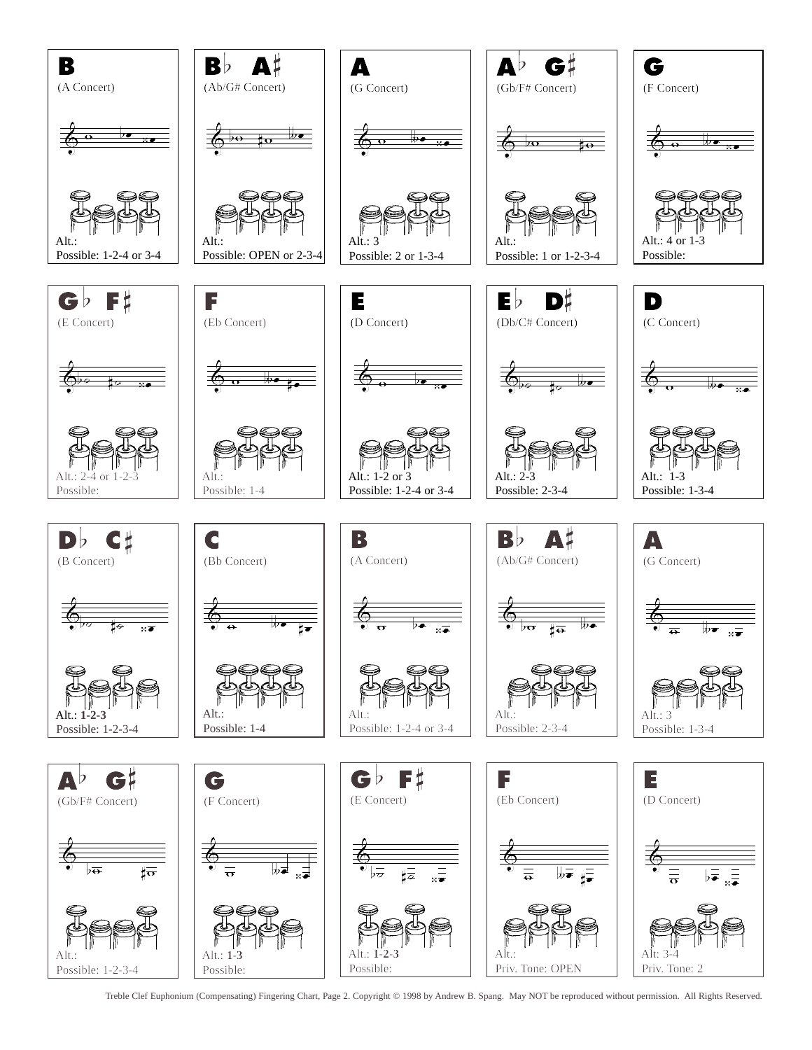

Treble Clef Euphonium (Compensating) Fingering Chart, Page 2. Copyright © 1998 by Andrew B. Spang. May NOT be reproduced without permission. All Rights Reserved.